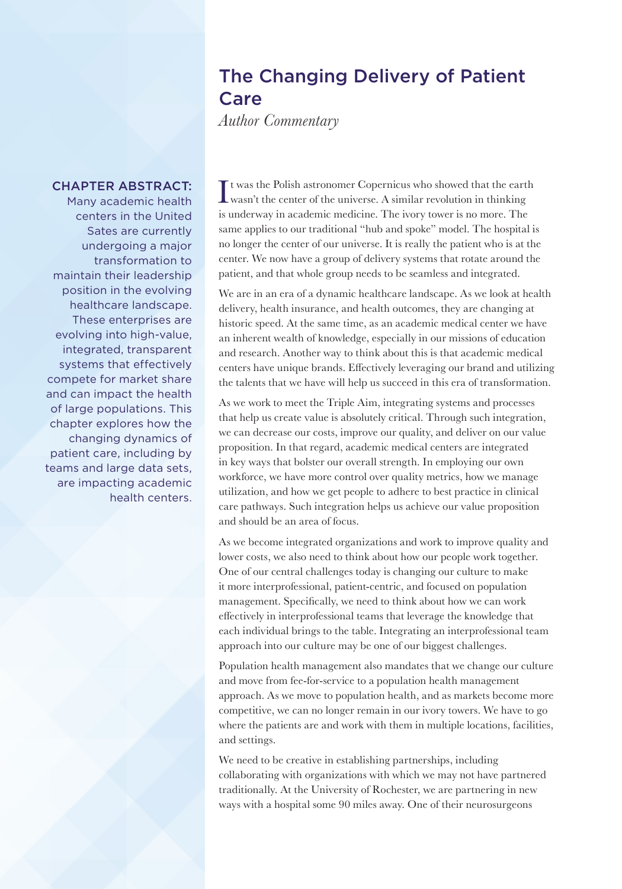## The Changing Delivery of Patient Care

*Author Commentary*

## CHAPTER ABSTRACT:

Many academic health centers in the United Sates are currently undergoing a major transformation to maintain their leadership position in the evolving healthcare landscape. These enterprises are evolving into high-value, integrated, transparent systems that effectively compete for market share and can impact the health of large populations. This chapter explores how the changing dynamics of patient care, including by teams and large data sets, are impacting academic health centers.

It was the Polish astronomer Copernicus who showed that the earth<br>wasn't the center of the universe. A similar revolution in thinking<br>wasn't the center of the universe. wasn't the center of the universe. A similar revolution in thinking is underway in academic medicine. The ivory tower is no more. The same applies to our traditional "hub and spoke" model. The hospital is no longer the center of our universe. It is really the patient who is at the center. We now have a group of delivery systems that rotate around the patient, and that whole group needs to be seamless and integrated.

We are in an era of a dynamic healthcare landscape. As we look at health delivery, health insurance, and health outcomes, they are changing at historic speed. At the same time, as an academic medical center we have an inherent wealth of knowledge, especially in our missions of education and research. Another way to think about this is that academic medical centers have unique brands. Effectively leveraging our brand and utilizing the talents that we have will help us succeed in this era of transformation.

As we work to meet the Triple Aim, integrating systems and processes that help us create value is absolutely critical. Through such integration, we can decrease our costs, improve our quality, and deliver on our value proposition. In that regard, academic medical centers are integrated in key ways that bolster our overall strength. In employing our own workforce, we have more control over quality metrics, how we manage utilization, and how we get people to adhere to best practice in clinical care pathways. Such integration helps us achieve our value proposition and should be an area of focus.

As we become integrated organizations and work to improve quality and lower costs, we also need to think about how our people work together. One of our central challenges today is changing our culture to make it more interprofessional, patient-centric, and focused on population management. Specifically, we need to think about how we can work effectively in interprofessional teams that leverage the knowledge that each individual brings to the table. Integrating an interprofessional team approach into our culture may be one of our biggest challenges.

Population health management also mandates that we change our culture and move from fee-for-service to a population health management approach. As we move to population health, and as markets become more competitive, we can no longer remain in our ivory towers. We have to go where the patients are and work with them in multiple locations, facilities, and settings.

We need to be creative in establishing partnerships, including collaborating with organizations with which we may not have partnered traditionally. At the University of Rochester, we are partnering in new ways with a hospital some 90 miles away. One of their neurosurgeons